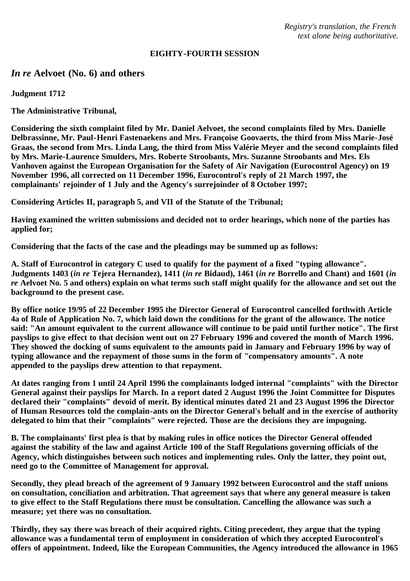*Registry's translation, the French text alone being authoritative.*

#### **EIGHTY-FOURTH SESSION**

# *In re* **Aelvoet (No. 6) and others**

**Judgment 1712**

**The Administrative Tribunal,**

**Considering the sixth complaint filed by Mr. Daniel Aelvoet, the second complaints filed by Mrs. Danielle Delbrassinne, Mr. Paul-Henri Fastenaekens and Mrs. Françoise Goovaerts, the third from Miss Marie-José Graas, the second from Mrs. Linda Lang, the third from Miss Valérie Meyer and the second complaints filed by Mrs. Marie-Laurence Smulders, Mrs. Roberte Stroobants, Mrs. Suzanne Stroobants and Mrs. Els Vanhoven against the European Organisation for the Safety of Air Navigation (Eurocontrol Agency) on 19 November 1996, all corrected on 11 December 1996, Eurocontrol's reply of 21 March 1997, the complainants' rejoinder of 1 July and the Agency's surrejoinder of 8 October 1997;**

**Considering Articles II, paragraph 5, and VII of the Statute of the Tribunal;**

**Having examined the written submissions and decided not to order hearings, which none of the parties has applied for;**

**Considering that the facts of the case and the pleadings may be summed up as follows:**

**A. Staff of Eurocontrol in category C used to qualify for the payment of a fixed "typing allowance". Judgments 1403 (***in re* **Tejera Hernandez), 1411 (***in re* **Bidaud), 1461 (***in re* **Borrello and Chant) and 1601 (***in re* **Aelvoet No. 5 and others) explain on what terms such staff might qualify for the allowance and set out the background to the present case.**

**By office notice 19/95 of 22 December 1995 the Director General of Eurocontrol cancelled forthwith Article 4a of Rule of Application No. 7, which laid down the conditions for the grant of the allowance. The notice said: "An amount equivalent to the current allowance will continue to be paid until further notice". The first payslips to give effect to that decision went out on 27 February 1996 and covered the month of March 1996. They showed the docking of sums equivalent to the amounts paid in January and February 1996 by way of typing allowance and the repayment of those sums in the form of "compensatory amounts". A note appended to the payslips drew attention to that repayment.**

**At dates ranging from 1 until 24 April 1996 the complainants lodged internal "complaints" with the Director General against their payslips for March. In a report dated 2 August 1996 the Joint Committee for Disputes declared their "complaints" devoid of merit. By identical minutes dated 21 and 23 August 1996 the Director of Human Resources told the complain-ants on the Director General's behalf and in the exercise of authority delegated to him that their "complaints" were rejected. Those are the decisions they are impugning.**

**B. The complainants' first plea is that by making rules in office notices the Director General offended against the stability of the law and against Article 100 of the Staff Regulations governing officials of the Agency, which distinguishes between such notices and implementing rules. Only the latter, they point out, need go to the Committee of Management for approval.**

**Secondly, they plead breach of the agreement of 9 January 1992 between Eurocontrol and the staff unions on consultation, conciliation and arbitration. That agreement says that where any general measure is taken to give effect to the Staff Regulations there must be consultation. Cancelling the allowance was such a measure; yet there was no consultation.**

**Thirdly, they say there was breach of their acquired rights. Citing precedent, they argue that the typing allowance was a fundamental term of employment in consideration of which they accepted Eurocontrol's offers of appointment. Indeed, like the European Communities, the Agency introduced the allowance in 1965**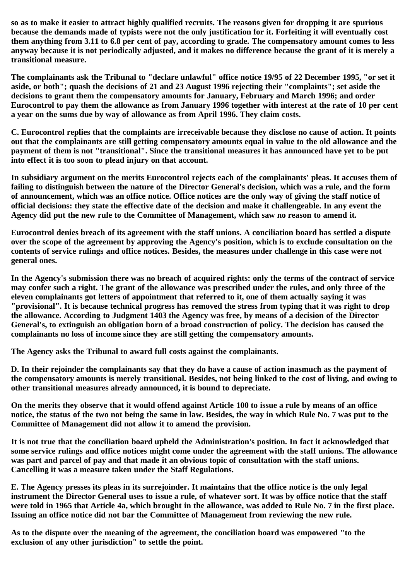**so as to make it easier to attract highly qualified recruits. The reasons given for dropping it are spurious because the demands made of typists were not the only justification for it. Forfeiting it will eventually cost them anything from 3.11 to 6.8 per cent of pay, according to grade. The compensatory amount comes to less anyway because it is not periodically adjusted, and it makes no difference because the grant of it is merely a transitional measure.**

**The complainants ask the Tribunal to "declare unlawful" office notice 19/95 of 22 December 1995, "or set it aside, or both"; quash the decisions of 21 and 23 August 1996 rejecting their "complaints"; set aside the decisions to grant them the compensatory amounts for January, February and March 1996; and order Eurocontrol to pay them the allowance as from January 1996 together with interest at the rate of 10 per cent a year on the sums due by way of allowance as from April 1996. They claim costs.**

**C. Eurocontrol replies that the complaints are irreceivable because they disclose no cause of action. It points out that the complainants are still getting compensatory amounts equal in value to the old allowance and the payment of them is not "transitional". Since the transitional measures it has announced have yet to be put into effect it is too soon to plead injury on that account.**

**In subsidiary argument on the merits Eurocontrol rejects each of the complainants' pleas. It accuses them of failing to distinguish between the nature of the Director General's decision, which was a rule, and the form of announcement, which was an office notice. Office notices are the only way of giving the staff notice of official decisions: they state the effective date of the decision and make it challengeable. In any event the Agency did put the new rule to the Committee of Management, which saw no reason to amend it.**

**Eurocontrol denies breach of its agreement with the staff unions. A conciliation board has settled a dispute over the scope of the agreement by approving the Agency's position, which is to exclude consultation on the contents of service rulings and office notices. Besides, the measures under challenge in this case were not general ones.**

**In the Agency's submission there was no breach of acquired rights: only the terms of the contract of service may confer such a right. The grant of the allowance was prescribed under the rules, and only three of the eleven complainants got letters of appointment that referred to it, one of them actually saying it was "provisional". It is because technical progress has removed the stress from typing that it was right to drop the allowance. According to Judgment 1403 the Agency was free, by means of a decision of the Director General's, to extinguish an obligation born of a broad construction of policy. The decision has caused the complainants no loss of income since they are still getting the compensatory amounts.**

**The Agency asks the Tribunal to award full costs against the complainants.**

**D. In their rejoinder the complainants say that they do have a cause of action inasmuch as the payment of the compensatory amounts is merely transitional. Besides, not being linked to the cost of living, and owing to other transitional measures already announced, it is bound to depreciate.**

**On the merits they observe that it would offend against Article 100 to issue a rule by means of an office notice, the status of the two not being the same in law. Besides, the way in which Rule No. 7 was put to the Committee of Management did not allow it to amend the provision.**

**It is not true that the conciliation board upheld the Administration's position. In fact it acknowledged that some service rulings and office notices might come under the agreement with the staff unions. The allowance was part and parcel of pay and that made it an obvious topic of consultation with the staff unions. Cancelling it was a measure taken under the Staff Regulations.**

**E. The Agency presses its pleas in its surrejoinder. It maintains that the office notice is the only legal instrument the Director General uses to issue a rule, of whatever sort. It was by office notice that the staff were told in 1965 that Article 4a, which brought in the allowance, was added to Rule No. 7 in the first place. Issuing an office notice did not bar the Committee of Management from reviewing the new rule.**

**As to the dispute over the meaning of the agreement, the conciliation board was empowered "to the exclusion of any other jurisdiction" to settle the point.**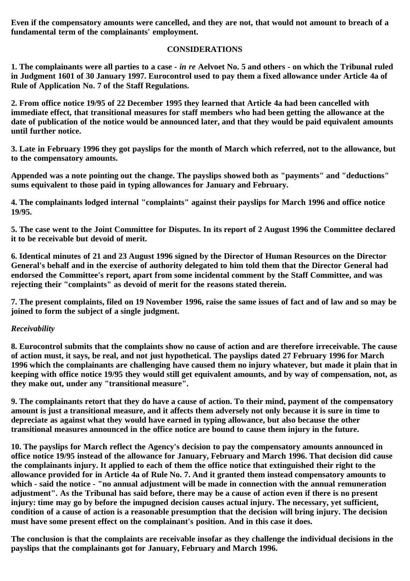**Even if the compensatory amounts were cancelled, and they are not, that would not amount to breach of a fundamental term of the complainants' employment.**

## **CONSIDERATIONS**

**1. The complainants were all parties to a case -** *in re* **Aelvoet No. 5 and others - on which the Tribunal ruled in Judgment 1601 of 30 January 1997. Eurocontrol used to pay them a fixed allowance under Article 4a of Rule of Application No. 7 of the Staff Regulations.**

**2. From office notice 19/95 of 22 December 1995 they learned that Article 4a had been cancelled with immediate effect, that transitional measures for staff members who had been getting the allowance at the date of publication of the notice would be announced later, and that they would be paid equivalent amounts until further notice.**

**3. Late in February 1996 they got payslips for the month of March which referred, not to the allowance, but to the compensatory amounts.**

**Appended was a note pointing out the change. The payslips showed both as "payments" and "deductions" sums equivalent to those paid in typing allowances for January and February.**

**4. The complainants lodged internal "complaints" against their payslips for March 1996 and office notice 19/95.**

**5. The case went to the Joint Committee for Disputes. In its report of 2 August 1996 the Committee declared it to be receivable but devoid of merit.**

**6. Identical minutes of 21 and 23 August 1996 signed by the Director of Human Resources on the Director General's behalf and in the exercise of authority delegated to him told them that the Director General had endorsed the Committee's report, apart from some incidental comment by the Staff Committee, and was rejecting their "complaints" as devoid of merit for the reasons stated therein.**

**7. The present complaints, filed on 19 November 1996, raise the same issues of fact and of law and so may be joined to form the subject of a single judgment.**

### *Receivability*

**8. Eurocontrol submits that the complaints show no cause of action and are therefore irreceivable. The cause of action must, it says, be real, and not just hypothetical. The payslips dated 27 February 1996 for March 1996 which the complainants are challenging have caused them no injury whatever, but made it plain that in keeping with office notice 19/95 they would still get equivalent amounts, and by way of compensation, not, as they make out, under any "transitional measure".**

**9. The complainants retort that they do have a cause of action. To their mind, payment of the compensatory amount is just a transitional measure, and it affects them adversely not only because it is sure in time to depreciate as against what they would have earned in typing allowance, but also because the other transitional measures announced in the office notice are bound to cause them injury in the future.**

**10. The payslips for March reflect the Agency's decision to pay the compensatory amounts announced in office notice 19/95 instead of the allowance for January, February and March 1996. That decision did cause the complainants injury. It applied to each of them the office notice that extinguished their right to the allowance provided for in Article 4a of Rule No. 7. And it granted them instead compensatory amounts to which - said the notice - "no annual adjustment will be made in connection with the annual remuneration adjustment". As the Tribunal has said before, there may be a cause of action even if there is no present injury: time may go by before the impugned decision causes actual injury. The necessary, yet sufficient, condition of a cause of action is a reasonable presumption that the decision will bring injury. The decision must have some present effect on the complainant's position. And in this case it does.**

**The conclusion is that the complaints are receivable insofar as they challenge the individual decisions in the payslips that the complainants got for January, February and March 1996.**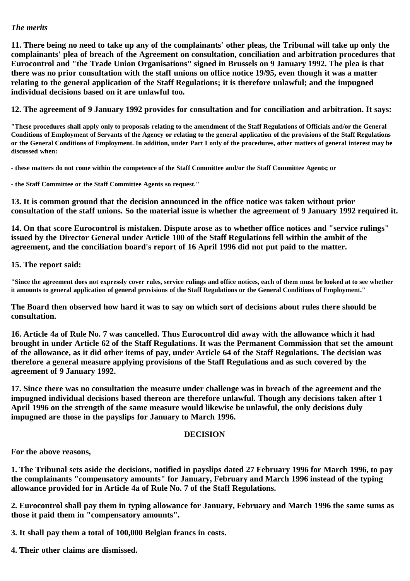### *The merits*

**11. There being no need to take up any of the complainants' other pleas, the Tribunal will take up only the complainants' plea of breach of the Agreement on consultation, conciliation and arbitration procedures that Eurocontrol and "the Trade Union Organisations" signed in Brussels on 9 January 1992. The plea is that there was no prior consultation with the staff unions on office notice 19/95, even though it was a matter relating to the general application of the Staff Regulations; it is therefore unlawful; and the impugned individual decisions based on it are unlawful too.**

**12. The agreement of 9 January 1992 provides for consultation and for conciliation and arbitration. It says:**

**"These procedures shall apply only to proposals relating to the amendment of the Staff Regulations of Officials and/or the General Conditions of Employment of Servants of the Agency or relating to the general application of the provisions of the Staff Regulations or the General Conditions of Employment. In addition, under Part I only of the procedures, other matters of general interest may be discussed when:**

**- these matters do not come within the competence of the Staff Committee and/or the Staff Committee Agents; or**

**- the Staff Committee or the Staff Committee Agents so request."**

**13. It is common ground that the decision announced in the office notice was taken without prior consultation of the staff unions. So the material issue is whether the agreement of 9 January 1992 required it.**

**14. On that score Eurocontrol is mistaken. Dispute arose as to whether office notices and "service rulings" issued by the Director General under Article 100 of the Staff Regulations fell within the ambit of the agreement, and the conciliation board's report of 16 April 1996 did not put paid to the matter.**

**15. The report said:**

**"Since the agreement does not expressly cover rules, service rulings and office notices, each of them must be looked at to see whether it amounts to general application of general provisions of the Staff Regulations or the General Conditions of Employment."**

**The Board then observed how hard it was to say on which sort of decisions about rules there should be consultation.**

**16. Article 4a of Rule No. 7 was cancelled. Thus Eurocontrol did away with the allowance which it had brought in under Article 62 of the Staff Regulations. It was the Permanent Commission that set the amount of the allowance, as it did other items of pay, under Article 64 of the Staff Regulations. The decision was therefore a general measure applying provisions of the Staff Regulations and as such covered by the agreement of 9 January 1992.**

**17. Since there was no consultation the measure under challenge was in breach of the agreement and the impugned individual decisions based thereon are therefore unlawful. Though any decisions taken after 1 April 1996 on the strength of the same measure would likewise be unlawful, the only decisions duly impugned are those in the payslips for January to March 1996.**

### **DECISION**

**For the above reasons,**

**1. The Tribunal sets aside the decisions, notified in payslips dated 27 February 1996 for March 1996, to pay the complainants "compensatory amounts" for January, February and March 1996 instead of the typing allowance provided for in Article 4a of Rule No. 7 of the Staff Regulations.**

**2. Eurocontrol shall pay them in typing allowance for January, February and March 1996 the same sums as those it paid them in "compensatory amounts".**

**3. It shall pay them a total of 100,000 Belgian francs in costs.**

**4. Their other claims are dismissed.**